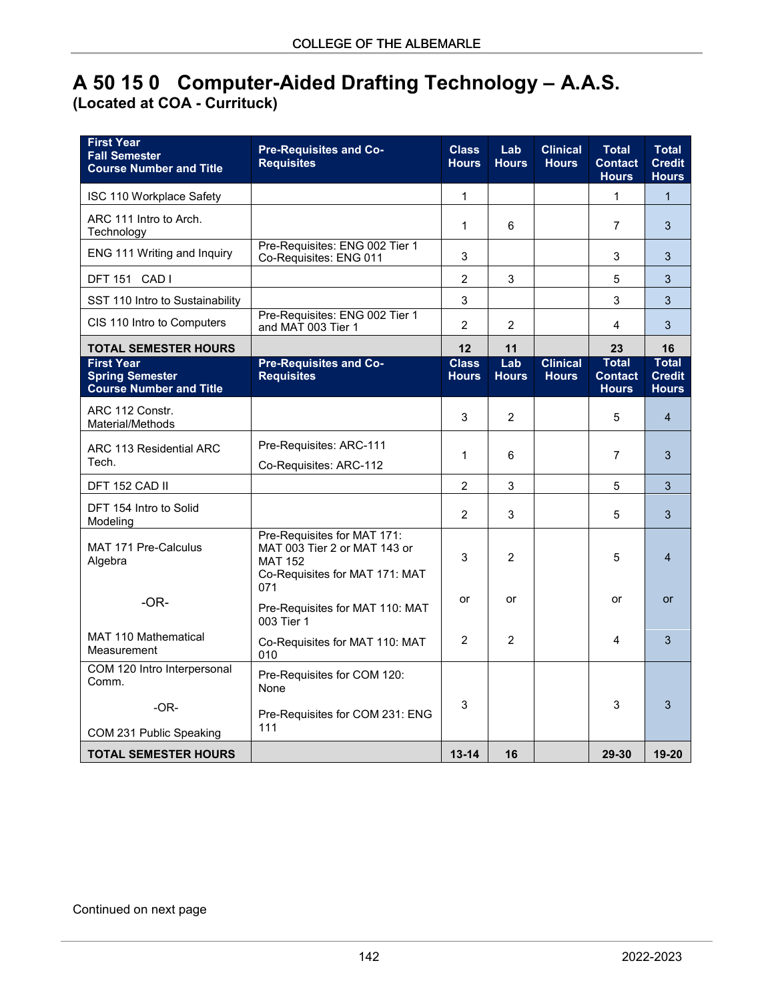## **A 50 15 0 Computer-Aided Drafting Technology – A.A.S.**

**(Located at COA - Currituck)**

| <b>First Year</b><br><b>Fall Semester</b><br><b>Course Number and Title</b>   | <b>Pre-Requisites and Co-</b><br><b>Requisites</b>                                                                     | <b>Class</b><br><b>Hours</b> | Lab<br><b>Hours</b> | <b>Clinical</b><br><b>Hours</b> | <b>Total</b><br><b>Contact</b><br><b>Hours</b> | <b>Total</b><br><b>Credit</b><br><b>Hours</b> |
|-------------------------------------------------------------------------------|------------------------------------------------------------------------------------------------------------------------|------------------------------|---------------------|---------------------------------|------------------------------------------------|-----------------------------------------------|
| ISC 110 Workplace Safety                                                      |                                                                                                                        | 1                            |                     |                                 | 1                                              | $\mathbf{1}$                                  |
| ARC 111 Intro to Arch.<br>Technology                                          |                                                                                                                        | $\mathbf{1}$                 | 6                   |                                 | $\overline{7}$                                 | 3                                             |
| ENG 111 Writing and Inquiry                                                   | Pre-Requisites: ENG 002 Tier 1<br>Co-Requisites: ENG 011                                                               | 3                            |                     |                                 | 3                                              | 3                                             |
| DFT 151 CAD I                                                                 |                                                                                                                        | $\overline{2}$               | $\mathbf{3}$        |                                 | 5                                              | 3                                             |
| SST 110 Intro to Sustainability                                               |                                                                                                                        | 3                            |                     |                                 | 3                                              | 3                                             |
| CIS 110 Intro to Computers                                                    | Pre-Requisites: ENG 002 Tier 1<br>and MAT 003 Tier 1                                                                   | $\overline{2}$               | $\overline{2}$      |                                 | 4                                              | 3                                             |
| <b>TOTAL SEMESTER HOURS</b>                                                   |                                                                                                                        | 12                           | 11                  |                                 | 23                                             | 16                                            |
| <b>First Year</b><br><b>Spring Semester</b><br><b>Course Number and Title</b> | <b>Pre-Requisites and Co-</b><br><b>Requisites</b>                                                                     | <b>Class</b><br><b>Hours</b> | Lab<br><b>Hours</b> | <b>Clinical</b><br><b>Hours</b> | <b>Total</b><br><b>Contact</b><br><b>Hours</b> | <b>Total</b><br><b>Credit</b><br><b>Hours</b> |
| ARC 112 Constr.<br>Material/Methods                                           |                                                                                                                        | 3                            | 2                   |                                 | 5                                              | $\overline{4}$                                |
| ARC 113 Residential ARC<br>Tech.                                              | Pre-Requisites: ARC-111<br>Co-Requisites: ARC-112                                                                      | 1                            | 6                   |                                 | $\overline{7}$                                 | 3                                             |
| DFT 152 CAD II                                                                |                                                                                                                        | $\overline{2}$               | 3                   |                                 | 5                                              | 3                                             |
| DFT 154 Intro to Solid<br>Modeling                                            |                                                                                                                        | $\overline{2}$               | 3                   |                                 | 5                                              | 3                                             |
| MAT 171 Pre-Calculus<br>Algebra                                               | Pre-Requisites for MAT 171:<br>MAT 003 Tier 2 or MAT 143 or<br><b>MAT 152</b><br>Co-Requisites for MAT 171: MAT<br>071 | 3                            | $\mathcal{P}$       |                                 | 5                                              | 4                                             |
| $-OR-$                                                                        | Pre-Requisites for MAT 110: MAT<br>003 Tier 1                                                                          | or                           | or                  |                                 | or                                             | or                                            |
| <b>MAT 110 Mathematical</b><br>Measurement                                    | Co-Requisites for MAT 110: MAT<br>010                                                                                  | $\overline{2}$               | 2                   |                                 | 4                                              | 3                                             |
| COM 120 Intro Interpersonal<br>Comm.                                          | Pre-Requisites for COM 120:<br>None                                                                                    |                              |                     |                                 |                                                |                                               |
| $-OR-$                                                                        | Pre-Requisites for COM 231: ENG<br>111                                                                                 | 3                            |                     |                                 | 3                                              | 3                                             |
| COM 231 Public Speaking                                                       |                                                                                                                        |                              |                     |                                 |                                                |                                               |
| <b>TOTAL SEMESTER HOURS</b>                                                   |                                                                                                                        | $13 - 14$                    | 16                  |                                 | 29-30                                          | $19 - 20$                                     |

## Continued on next page